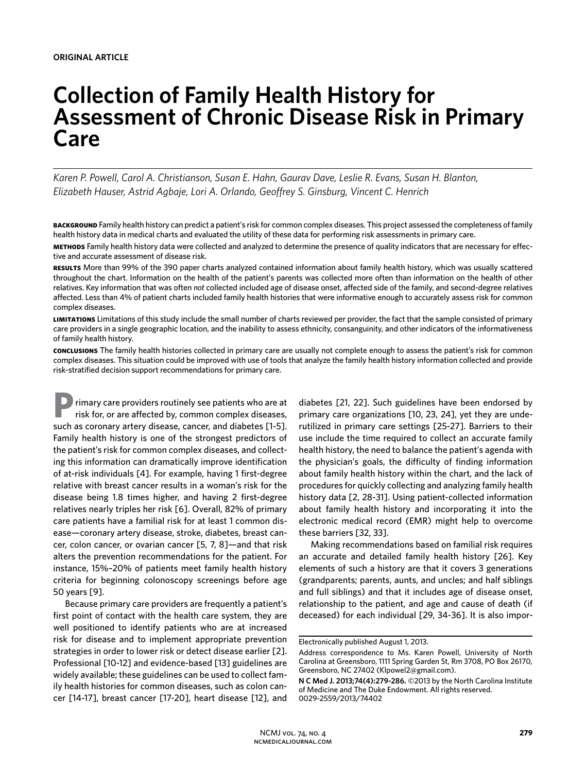# **Collection of Family Health History for Assessment of Chronic Disease Risk in Primary Care**

*Karen P. Powell, Carol A. Christianson, Susan E. Hahn, Gaurav Dave, Leslie R. Evans, Susan H. Blanton, Elizabeth Hauser, Astrid Agbaje, Lori A. Orlando, Geoffrey S. Ginsburg, Vincent C. Henrich*

**background** Family health history can predict a patient's risk for common complex diseases. This project assessed the completeness of family health history data in medical charts and evaluated the utility of these data for performing risk assessments in primary care.

**methods** Family health history data were collected and analyzed to determine the presence of quality indicators that are necessary for effective and accurate assessment of disease risk.

**results** More than 99% of the 390 paper charts analyzed contained information about family health history, which was usually scattered throughout the chart. Information on the health of the patient's parents was collected more often than information on the health of other relatives. Key information that was often *not* collected included age of disease onset, affected side of the family, and second-degree relatives affected. Less than 4% of patient charts included family health histories that were informative enough to accurately assess risk for common complex diseases.

**limitations** Limitations of this study include the small number of charts reviewed per provider, the fact that the sample consisted of primary care providers in a single geographic location, and the inability to assess ethnicity, consanguinity, and other indicators of the informativeness of family health history.

**conclusions** The family health histories collected in primary care are usually not complete enough to assess the patient's risk for common complex diseases. This situation could be improved with use of tools that analyze the family health history information collected and provide risk-stratified decision support recommendations for primary care.

**P**rimary care providers routinely see patients who are at risk for, or are affected by, common complex diseases, such as coronary artery disease, cancer, and diabetes [1-5]. Family health history is one of the strongest predictors of the patient's risk for common complex diseases, and collecting this information can dramatically improve identification of at-risk individuals [4]. For example, having 1 first-degree relative with breast cancer results in a woman's risk for the disease being 1.8 times higher, and having 2 first-degree relatives nearly triples her risk [6]. Overall, 82% of primary care patients have a familial risk for at least 1 common disease—coronary artery disease, stroke, diabetes, breast cancer, colon cancer, or ovarian cancer [5, 7, 8]—and that risk alters the prevention recommendations for the patient. For instance, 15%–20% of patients meet family health history criteria for beginning colonoscopy screenings before age 50 years [9].

Because primary care providers are frequently a patient's first point of contact with the health care system, they are well positioned to identify patients who are at increased risk for disease and to implement appropriate prevention strategies in order to lower risk or detect disease earlier [2]. Professional [10-12] and evidence-based [13] guidelines are widely available; these guidelines can be used to collect family health histories for common diseases, such as colon cancer [14-17], breast cancer [17-20], heart disease [12], and

diabetes [21, 22]. Such guidelines have been endorsed by primary care organizations [10, 23, 24], yet they are underutilized in primary care settings [25-27]. Barriers to their use include the time required to collect an accurate family health history, the need to balance the patient's agenda with the physician's goals, the difficulty of finding information about family health history within the chart, and the lack of procedures for quickly collecting and analyzing family health history data [2, 28-31]. Using patient-collected information about family health history and incorporating it into the electronic medical record (EMR) might help to overcome these barriers [32, 33].

Making recommendations based on familial risk requires an accurate and detailed family health history [26]. Key elements of such a history are that it covers 3 generations (grandparents; parents, aunts, and uncles; and half siblings and full siblings) and that it includes age of disease onset, relationship to the patient, and age and cause of death (if deceased) for each individual [29, 34-36]. It is also impor-

Electronically published August 1, 2013.

Address correspondence to Ms. Karen Powell, University of North Carolina at Greensboro, 1111 Spring Garden St, Rm 3708, PO Box 26170, Greensboro, NC 27402 (Klpowel2@gmail.com).

**N C Med J. 2013;74(4):279-286.** ©2013 by the North Carolina Institute of Medicine and The Duke Endowment. All rights reserved. 0029-2559/2013/74402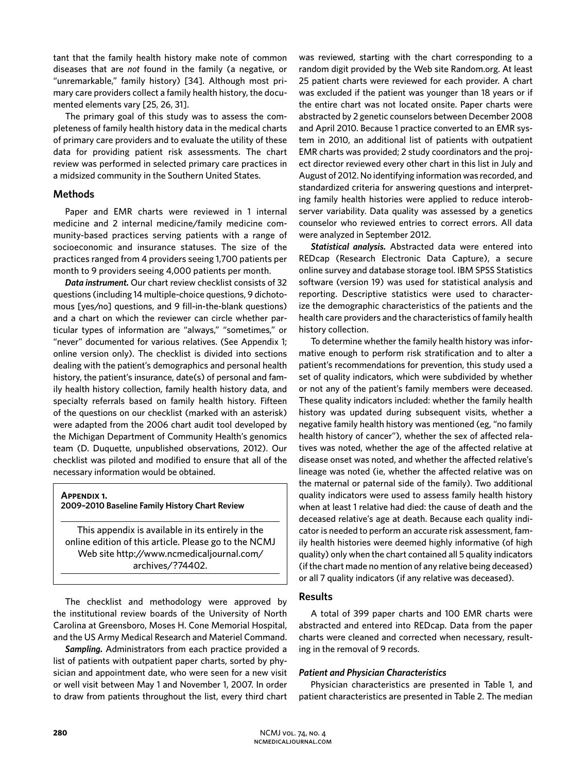tant that the family health history make note of common diseases that are *not* found in the family (a negative, or "unremarkable," family history) [34]. Although most primary care providers collect a family health history, the documented elements vary [25, 26, 31].

The primary goal of this study was to assess the completeness of family health history data in the medical charts of primary care providers and to evaluate the utility of these data for providing patient risk assessments. The chart review was performed in selected primary care practices in a midsized community in the Southern United States.

# **Methods**

Paper and EMR charts were reviewed in 1 internal medicine and 2 internal medicine/family medicine community-based practices serving patients with a range of socioeconomic and insurance statuses. The size of the practices ranged from 4 providers seeing 1,700 patients per month to 9 providers seeing 4,000 patients per month.

*Data instrument.* Our chart review checklist consists of 32 questions (including 14 multiple-choice questions, 9 dichotomous [yes/no] questions, and 9 fill-in-the-blank questions) and a chart on which the reviewer can circle whether particular types of information are "always," "sometimes," or "never" documented for various relatives. (See Appendix 1; online version only). The checklist is divided into sections dealing with the patient's demographics and personal health history, the patient's insurance, date(s) of personal and family health history collection, family health history data, and specialty referrals based on family health history. Fifteen of the questions on our checklist (marked with an asterisk) were adapted from the 2006 chart audit tool developed by the Michigan Department of Community Health's genomics team (D. Duquette, unpublished observations, 2012). Our checklist was piloted and modified to ensure that all of the necessary information would be obtained.

# **Appendix 1.**

#### **2009–2010 Baseline Family History Chart Review**

This appendix is available in its entirely in the online edition of this article. Please go to the NCMJ Web site http://www.ncmedicaljournal.com/ archives/?74402.

The checklist and methodology were approved by the institutional review boards of the University of North Carolina at Greensboro, Moses H. Cone Memorial Hospital, and the US Army Medical Research and Materiel Command.

*Sampling.* Administrators from each practice provided a list of patients with outpatient paper charts, sorted by physician and appointment date, who were seen for a new visit or well visit between May 1 and November 1, 2007. In order to draw from patients throughout the list, every third chart was reviewed, starting with the chart corresponding to a random digit provided by the Web site Random.org. At least 25 patient charts were reviewed for each provider. A chart was excluded if the patient was younger than 18 years or if the entire chart was not located onsite. Paper charts were abstracted by 2 genetic counselors between December 2008 and April 2010. Because 1 practice converted to an EMR system in 2010, an additional list of patients with outpatient EMR charts was provided; 2 study coordinators and the project director reviewed every other chart in this list in July and August of 2012. No identifying information was recorded, and standardized criteria for answering questions and interpreting family health histories were applied to reduce interobserver variability. Data quality was assessed by a genetics counselor who reviewed entries to correct errors. All data were analyzed in September 2012.

*Statistical analysis.* Abstracted data were entered into REDcap (Research Electronic Data Capture), a secure online survey and database storage tool. IBM SPSS Statistics software (version 19) was used for statistical analysis and reporting. Descriptive statistics were used to characterize the demographic characteristics of the patients and the health care providers and the characteristics of family health history collection.

To determine whether the family health history was informative enough to perform risk stratification and to alter a patient's recommendations for prevention, this study used a set of quality indicators, which were subdivided by whether or not any of the patient's family members were deceased. These quality indicators included: whether the family health history was updated during subsequent visits, whether a negative family health history was mentioned (eg, "no family health history of cancer"), whether the sex of affected relatives was noted, whether the age of the affected relative at disease onset was noted, and whether the affected relative's lineage was noted (ie, whether the affected relative was on the maternal or paternal side of the family). Two additional quality indicators were used to assess family health history when at least 1 relative had died: the cause of death and the deceased relative's age at death. Because each quality indicator is needed to perform an accurate risk assessment, family health histories were deemed highly informative (of high quality) only when the chart contained all 5 quality indicators (if the chart made no mention of any relative being deceased) or all 7 quality indicators (if any relative was deceased).

# **Results**

A total of 399 paper charts and 100 EMR charts were abstracted and entered into REDcap. Data from the paper charts were cleaned and corrected when necessary, resulting in the removal of 9 records.

# *Patient and Physician Characteristics*

Physician characteristics are presented in Table 1, and patient characteristics are presented in Table 2. The median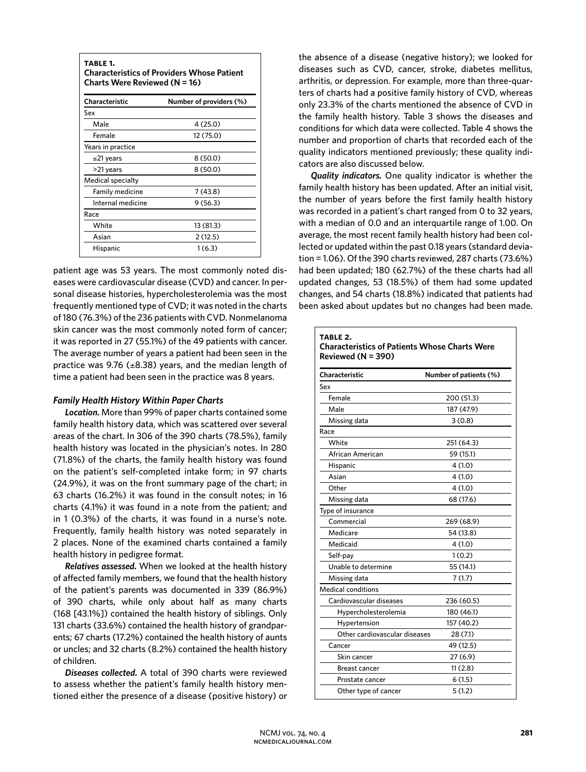| TABLE 1.<br><b>Characteristics of Providers Whose Patient</b><br>Charts Were Reviewed $(N = 16)$ |                         |  |  |  |
|--------------------------------------------------------------------------------------------------|-------------------------|--|--|--|
| Characteristic                                                                                   | Number of providers (%) |  |  |  |
| Sex                                                                                              |                         |  |  |  |
| Male                                                                                             | 4(25.0)                 |  |  |  |
| Female                                                                                           | 12 (75.0)               |  |  |  |
| Years in practice                                                                                |                         |  |  |  |
| ≤21 years                                                                                        | 8 (50.0)                |  |  |  |
| >21 years                                                                                        | 8(50.0)                 |  |  |  |
| <b>Medical specialty</b>                                                                         |                         |  |  |  |
| Family medicine                                                                                  | 7(43.8)                 |  |  |  |
| Internal medicine                                                                                | 9(56.3)                 |  |  |  |
| Race                                                                                             |                         |  |  |  |
| White                                                                                            | 13 (81.3)               |  |  |  |
| Asian                                                                                            | 2 (12.5)                |  |  |  |
| Hispanic                                                                                         | 1(6.3)                  |  |  |  |

patient age was 53 years. The most commonly noted diseases were cardiovascular disease (CVD) and cancer. In personal disease histories, hypercholesterolemia was the most frequently mentioned type of CVD; it was noted in the charts of 180 (76.3%) of the 236 patients with CVD. Nonmelanoma skin cancer was the most commonly noted form of cancer; it was reported in 27 (55.1%) of the 49 patients with cancer. The average number of years a patient had been seen in the practice was 9.76 ( $\pm$ 8.38) years, and the median length of time a patient had been seen in the practice was 8 years.

# *Family Health History Within Paper Charts*

*Location.* More than 99% of paper charts contained some family health history data, which was scattered over several areas of the chart. In 306 of the 390 charts (78.5%), family health history was located in the physician's notes. In 280 (71.8%) of the charts, the family health history was found on the patient's self-completed intake form; in 97 charts (24.9%), it was on the front summary page of the chart; in 63 charts (16.2%) it was found in the consult notes; in 16 charts (4.1%) it was found in a note from the patient; and in 1 (0.3%) of the charts, it was found in a nurse's note. Frequently, family health history was noted separately in 2 places. None of the examined charts contained a family health history in pedigree format.

*Relatives assessed.* When we looked at the health history of affected family members, we found that the health history of the patient's parents was documented in 339 (86.9%) of 390 charts, while only about half as many charts (168 [43.1%]) contained the health history of siblings. Only 131 charts (33.6%) contained the health history of grandparents; 67 charts (17.2%) contained the health history of aunts or uncles; and 32 charts (8.2%) contained the health history of children.

*Diseases collected.* A total of 390 charts were reviewed to assess whether the patient's family health history mentioned either the presence of a disease (positive history) or the absence of a disease (negative history); we looked for diseases such as CVD, cancer, stroke, diabetes mellitus, arthritis, or depression. For example, more than three-quarters of charts had a positive family history of CVD, whereas only 23.3% of the charts mentioned the absence of CVD in the family health history. Table 3 shows the diseases and conditions for which data were collected. Table 4 shows the number and proportion of charts that recorded each of the quality indicators mentioned previously; these quality indicators are also discussed below.

*Quality indicators.* One quality indicator is whether the family health history has been updated. After an initial visit, the number of years before the first family health history was recorded in a patient's chart ranged from 0 to 32 years, with a median of 0.0 and an interquartile range of 1.00. On average, the most recent family health history had been collected or updated within the past 0.18 years (standard deviation = 1.06). Of the 390 charts reviewed, 287 charts (73.6%) had been updated; 180 (62.7%) of the these charts had all updated changes, 53 (18.5%) of them had some updated changes, and 54 charts (18.8%) indicated that patients had been asked about updates but no changes had been made.

| TABLE 2.<br><b>Characteristics of Patients Whose Charts Were</b> |                        |  |  |
|------------------------------------------------------------------|------------------------|--|--|
| Reviewed $(N = 390)$                                             |                        |  |  |
| Characteristic                                                   | Number of patients (%) |  |  |
| Sex                                                              |                        |  |  |
| Female                                                           | 200 (51.3)             |  |  |
| Male                                                             | 187 (47.9)             |  |  |
| Missing data                                                     | 3(0.8)                 |  |  |
| Race                                                             |                        |  |  |
| White                                                            | 251 (64.3)             |  |  |
| African American                                                 | 59 (15.1)              |  |  |
| Hispanic                                                         | 4(1.0)                 |  |  |
| Asian                                                            | 4(1.0)                 |  |  |
| Other                                                            | 4(1.0)                 |  |  |
| Missing data                                                     | 68 (17.6)              |  |  |
| Type of insurance                                                |                        |  |  |
| Commercial                                                       | 269 (68.9)             |  |  |
| Medicare                                                         | 54 (13.8)              |  |  |
| Medicaid                                                         | 4(1.0)                 |  |  |
| Self-pay                                                         | 1(0.2)                 |  |  |
| Unable to determine                                              | 55 (14.1)              |  |  |
| Missing data                                                     | 7(1.7)                 |  |  |
| <b>Medical conditions</b>                                        |                        |  |  |
| Cardiovascular diseases                                          | 236 (60.5)             |  |  |
| Hypercholesterolemia                                             | 180 (46.1)             |  |  |
| Hypertension                                                     | 157 (40.2)             |  |  |
| Other cardiovascular diseases                                    | 28 (7.1)               |  |  |
| Cancer                                                           | 49 (12.5)              |  |  |
| Skin cancer                                                      | 27 (6.9)               |  |  |
| <b>Breast cancer</b>                                             | 11(2.8)                |  |  |
| Prostate cancer                                                  | 6(1.5)                 |  |  |
| Other type of cancer                                             | 5(1.2)                 |  |  |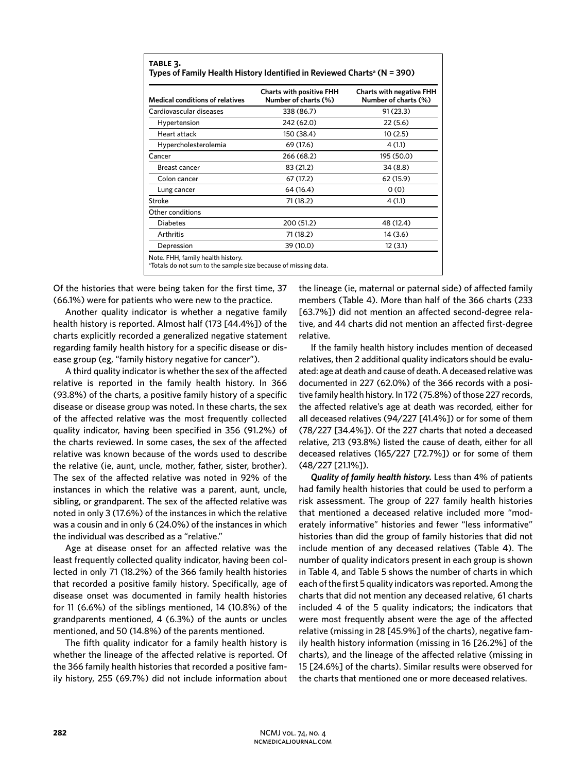| <b>Medical conditions of relatives</b> | <b>Charts with positive FHH</b><br>Number of charts (%) | <b>Charts with negative FHH</b><br>Number of charts (%) |
|----------------------------------------|---------------------------------------------------------|---------------------------------------------------------|
| Cardiovascular diseases                | 338 (86.7)                                              | 91 (23.3)                                               |
| Hypertension                           | 242 (62.0)                                              | 22(5.6)                                                 |
| Heart attack                           | 150 (38.4)                                              | 10(2.5)                                                 |
| Hypercholesterolemia                   | 69 (17.6)                                               | 4(1.1)                                                  |
| Cancer                                 | 266 (68.2)                                              | 195 (50.0)                                              |
| Breast cancer                          | 83 (21.2)                                               | 34(8.8)                                                 |
| Colon cancer                           | 67 (17.2)                                               | 62 (15.9)                                               |
| Lung cancer                            | 64 (16.4)                                               | 0(0)                                                    |
| Stroke                                 | 71 (18.2)                                               | 4(1.1)                                                  |
| Other conditions                       |                                                         |                                                         |
| Diabetes                               | 200 (51.2)                                              | 48 (12.4)                                               |
| Arthritis                              | 71 (18.2)                                               | 14 (3.6)                                                |
| Depression                             | 39 (10.0)                                               | 12 (3.1)                                                |

Of the histories that were being taken for the first time, 37 (66.1%) were for patients who were new to the practice.

Another quality indicator is whether a negative family health history is reported. Almost half (173 [44.4%]) of the charts explicitly recorded a generalized negative statement regarding family health history for a specific disease or disease group (eg, "family history negative for cancer").

A third quality indicator is whether the sex of the affected relative is reported in the family health history. In 366 (93.8%) of the charts, a positive family history of a specific disease or disease group was noted. In these charts, the sex of the affected relative was the most frequently collected quality indicator, having been specified in 356 (91.2%) of the charts reviewed. In some cases, the sex of the affected relative was known because of the words used to describe the relative (ie, aunt, uncle, mother, father, sister, brother). The sex of the affected relative was noted in 92% of the instances in which the relative was a parent, aunt, uncle, sibling, or grandparent. The sex of the affected relative was noted in only 3 (17.6%) of the instances in which the relative was a cousin and in only 6 (24.0%) of the instances in which the individual was described as a "relative."

Age at disease onset for an affected relative was the least frequently collected quality indicator, having been collected in only 71 (18.2%) of the 366 family health histories that recorded a positive family history. Specifically, age of disease onset was documented in family health histories for 11 (6.6%) of the siblings mentioned, 14 (10.8%) of the grandparents mentioned, 4 (6.3%) of the aunts or uncles mentioned, and 50 (14.8%) of the parents mentioned.

The fifth quality indicator for a family health history is whether the lineage of the affected relative is reported. Of the 366 family health histories that recorded a positive family history, 255 (69.7%) did not include information about the lineage (ie, maternal or paternal side) of affected family members (Table 4). More than half of the 366 charts (233 [63.7%]) did not mention an affected second-degree relative, and 44 charts did not mention an affected first-degree relative.

If the family health history includes mention of deceased relatives, then 2 additional quality indicators should be evaluated: age at death and cause of death. A deceased relative was documented in 227 (62.0%) of the 366 records with a positive family health history. In 172 (75.8%) of those 227 records, the affected relative's age at death was recorded, either for all deceased relatives (94/227 [41.4%]) or for some of them (78/227 [34.4%]). Of the 227 charts that noted a deceased relative, 213 (93.8%) listed the cause of death, either for all deceased relatives (165/227 [72.7%]) or for some of them (48/227 [21.1%]).

*Quality of family health history.* Less than 4% of patients had family health histories that could be used to perform a risk assessment. The group of 227 family health histories that mentioned a deceased relative included more "moderately informative" histories and fewer "less informative" histories than did the group of family histories that did not include mention of any deceased relatives (Table 4). The number of quality indicators present in each group is shown in Table 4, and Table 5 shows the number of charts in which each of the first 5 quality indicators was reported. Among the charts that did not mention any deceased relative, 61 charts included 4 of the 5 quality indicators; the indicators that were most frequently absent were the age of the affected relative (missing in 28 [45.9%] of the charts), negative family health history information (missing in 16 [26.2%] of the charts), and the lineage of the affected relative (missing in 15 [24.6%] of the charts). Similar results were observed for the charts that mentioned one or more deceased relatives.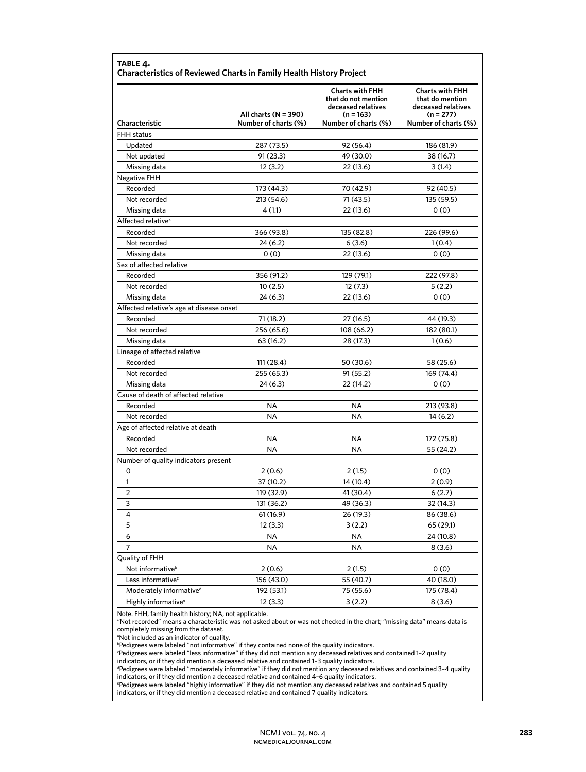|                                          | All charts $(N = 390)$ | <b>Charts with FHH</b><br>that do not mention<br>deceased relatives<br>$(n = 163)$ | <b>Charts with FHH</b><br>that do mention<br>deceased relatives<br>$(n = 277)$ |  |
|------------------------------------------|------------------------|------------------------------------------------------------------------------------|--------------------------------------------------------------------------------|--|
| Characteristic                           | Number of charts (%)   | Number of charts (%)                                                               | Number of charts (%)                                                           |  |
| <b>FHH</b> status                        |                        |                                                                                    |                                                                                |  |
| Updated                                  | 287 (73.5)             | 92 (56.4)                                                                          | 186 (81.9)                                                                     |  |
| Not updated                              | 91 (23.3)              | 49 (30.0)                                                                          | 38 (16.7)                                                                      |  |
| Missing data                             | 12(3.2)                | 22 (13.6)                                                                          | 3(1.4)                                                                         |  |
| Negative FHH                             |                        |                                                                                    |                                                                                |  |
| Recorded                                 | 173 (44.3)             | 70 (42.9)                                                                          | 92 (40.5)                                                                      |  |
| Not recorded                             | 213 (54.6)             | 71 (43.5)                                                                          | 135 (59.5)                                                                     |  |
| Missing data                             | 4(1.1)                 | 22 (13.6)                                                                          | 0(0)                                                                           |  |
| Affected relative <sup>®</sup>           |                        |                                                                                    |                                                                                |  |
| Recorded                                 | 366 (93.8)             | 135 (82.8)                                                                         | 226 (99.6)                                                                     |  |
| Not recorded                             | 24 (6.2)               | 6(3.6)                                                                             | 1(0.4)                                                                         |  |
| Missing data                             | 0(0)                   | 22 (13.6)                                                                          | 0(0)                                                                           |  |
| Sex of affected relative                 |                        |                                                                                    |                                                                                |  |
| Recorded                                 | 356 (91.2)             | 129 (79.1)                                                                         | 222 (97.8)                                                                     |  |
| Not recorded                             | 10(2.5)                | 12 (7.3)                                                                           | 5(2.2)                                                                         |  |
| Missing data                             | 24 (6.3)               | 22 (13.6)                                                                          | 0(0)                                                                           |  |
| Affected relative's age at disease onset |                        |                                                                                    |                                                                                |  |
| Recorded                                 | 71 (18.2)              | 27 (16.5)                                                                          | 44 (19.3)                                                                      |  |
| Not recorded                             | 256 (65.6)             | 108 (66.2)                                                                         | 182 (80.1)                                                                     |  |
| Missing data                             | 63 (16.2)              | 28 (17.3)                                                                          | 1(0.6)                                                                         |  |
| Lineage of affected relative             |                        |                                                                                    |                                                                                |  |
| Recorded                                 | 111 (28.4)             | 50 (30.6)                                                                          | 58 (25.6)                                                                      |  |
| Not recorded                             | 255 (65.3)             | 91 (55.2)                                                                          | 169 (74.4)                                                                     |  |
| Missing data                             | 24 (6.3)               | 22 (14.2)                                                                          | 0(0)                                                                           |  |
| Cause of death of affected relative      |                        |                                                                                    |                                                                                |  |
| Recorded                                 | NA                     | NA                                                                                 | 213 (93.8)                                                                     |  |
| Not recorded                             | <b>NA</b>              | <b>NA</b>                                                                          | 14 (6.2)                                                                       |  |
| Age of affected relative at death        |                        |                                                                                    |                                                                                |  |
| Recorded                                 | NA                     | NA.                                                                                | 172 (75.8)                                                                     |  |
| Not recorded                             | NA                     | <b>NA</b>                                                                          | 55 (24.2)                                                                      |  |
| Number of quality indicators present     |                        |                                                                                    |                                                                                |  |
| 0                                        | 2(0.6)                 | 2 (1.5)                                                                            | 0(0)                                                                           |  |
| 1                                        | 37 (10.2)              | 14 (10.4)                                                                          | 2(0.9)                                                                         |  |
| $\overline{2}$                           | 119 (32.9)             | 41 (30.4)                                                                          | 6(2.7)                                                                         |  |
| 3                                        | 131 (36.2)             | 49 (36.3)                                                                          | 32 (14.3)                                                                      |  |
| 4                                        | 61 (16.9)              | 26 (19.3)                                                                          | 86 (38.6)                                                                      |  |
| 5                                        | 12(3.3)                | 3(2.2)                                                                             | 65 (29.1)                                                                      |  |
| 6                                        | NA                     | ΝA                                                                                 | 24 (10.8)                                                                      |  |
| 7                                        | NA                     | NA                                                                                 | 8(3.6)                                                                         |  |
| Quality of FHH                           |                        |                                                                                    |                                                                                |  |
| Not informative <sup>b</sup>             | 2(0.6)                 | 2(1.5)                                                                             | 0(0)                                                                           |  |
| Less informative <sup>c</sup>            | 156 (43.0)             | 55 (40.7)                                                                          | 40 (18.0)                                                                      |  |
| Moderately informative <sup>d</sup>      | 192 (53.1)             | 75 (55.6)                                                                          | 175 (78.4)                                                                     |  |
| Highly informative <sup>e</sup>          | 12(3.3)                | 3(2.2)                                                                             | 8(3.6)                                                                         |  |

Note. FHH, family health history; NA, not applicable.

"Not recorded" means a characteristic was not asked about or was not checked in the chart; "missing data" means data is completely missing from the dataset.

<sup>a</sup>Not included as an indicator of quality.

**Pedigrees were labeled "not informative" if they contained none of the quality indicators.** 

c Pedigrees were labeled "less informative" if they did not mention any deceased relatives and contained 1–2 quality indicators, or if they did mention a deceased relative and contained 1–3 quality indicators.

d Pedigrees were labeled "moderately informative" if they did not mention any deceased relatives and contained 3–4 quality

indicators, or if they did mention a deceased relative and contained 4–6 quality indicators. e Pedigrees were labeled "highly informative" if they did not mention any deceased relatives and contained 5 quality

indicators, or if they did mention a deceased relative and contained 7 quality indicators.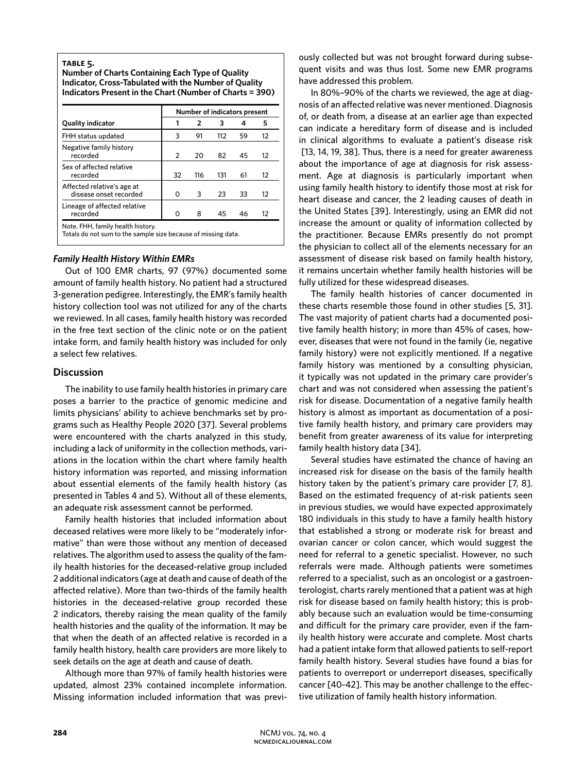#### **table 5.**

**Number of Charts Containing Each Type of Quality Indicator, Cross-Tabulated with the Number of Quality Indicators Present in the Chart (Number of Charts = 390)**

| <b>Quality indicator</b>                             | Number of indicators present |                |     |    |                   |
|------------------------------------------------------|------------------------------|----------------|-----|----|-------------------|
|                                                      |                              | $\overline{2}$ | з   | 4  | 5                 |
| FHH status updated                                   | 3                            | 91             | 112 | 59 | 12                |
| Negative family history<br>recorded                  | 2                            | 20             | 82  | 45 | 12                |
| Sex of affected relative<br>recorded                 | 32                           | 116            | 131 | 61 | $12 \overline{ }$ |
| Affected relative's age at<br>disease onset recorded | Ο                            | 3              | 23  | 33 | $12 \overline{ }$ |
| Lineage of affected relative<br>recorded             |                              | я              | 45  | 46 | 12                |

Totals do not sum to the sample size because of missing data.

#### *Family Health History Within EMRs*

Out of 100 EMR charts, 97 (97%) documented some amount of family health history. No patient had a structured 3-generation pedigree. Interestingly, the EMR's family health history collection tool was not utilized for any of the charts we reviewed. In all cases, family health history was recorded in the free text section of the clinic note or on the patient intake form, and family health history was included for only a select few relatives.

## **Discussion**

The inability to use family health histories in primary care poses a barrier to the practice of genomic medicine and limits physicians' ability to achieve benchmarks set by programs such as Healthy People 2020 [37]. Several problems were encountered with the charts analyzed in this study, including a lack of uniformity in the collection methods, variations in the location within the chart where family health history information was reported, and missing information about essential elements of the family health history (as presented in Tables 4 and 5). Without all of these elements, an adequate risk assessment cannot be performed.

Family health histories that included information about deceased relatives were more likely to be "moderately informative" than were those without any mention of deceased relatives. The algorithm used to assess the quality of the family health histories for the deceased-relative group included 2 additional indicators (age at death and cause of death of the affected relative). More than two-thirds of the family health histories in the deceased-relative group recorded these 2 indicators, thereby raising the mean quality of the family health histories and the quality of the information. It may be that when the death of an affected relative is recorded in a family health history, health care providers are more likely to seek details on the age at death and cause of death.

Although more than 97% of family health histories were updated, almost 23% contained incomplete information. Missing information included information that was previously collected but was not brought forward during subsequent visits and was thus lost. Some new EMR programs have addressed this problem.

In 80%–90% of the charts we reviewed, the age at diagnosis of an affected relative was never mentioned. Diagnosis of, or death from, a disease at an earlier age than expected can indicate a hereditary form of disease and is included in clinical algorithms to evaluate a patient's disease risk [13, 14, 19, 38]. Thus, there is a need for greater awareness about the importance of age at diagnosis for risk assessment. Age at diagnosis is particularly important when using family health history to identify those most at risk for heart disease and cancer, the 2 leading causes of death in the United States [39]. Interestingly, using an EMR did not increase the amount or quality of information collected by the practitioner. Because EMRs presently do not prompt the physician to collect all of the elements necessary for an assessment of disease risk based on family health history, it remains uncertain whether family health histories will be fully utilized for these widespread diseases.

The family health histories of cancer documented in these charts resemble those found in other studies [5, 31]. The vast majority of patient charts had a documented positive family health history; in more than 45% of cases, however, diseases that were not found in the family (ie, negative family history) were not explicitly mentioned. If a negative family history was mentioned by a consulting physician, it typically was not updated in the primary care provider's chart and was not considered when assessing the patient's risk for disease. Documentation of a negative family health history is almost as important as documentation of a positive family health history, and primary care providers may benefit from greater awareness of its value for interpreting family health history data [34].

Several studies have estimated the chance of having an increased risk for disease on the basis of the family health history taken by the patient's primary care provider [7, 8]. Based on the estimated frequency of at-risk patients seen in previous studies, we would have expected approximately 180 individuals in this study to have a family health history that established a strong or moderate risk for breast and ovarian cancer or colon cancer, which would suggest the need for referral to a genetic specialist. However, no such referrals were made. Although patients were sometimes referred to a specialist, such as an oncologist or a gastroenterologist, charts rarely mentioned that a patient was at high risk for disease based on family health history; this is probably because such an evaluation would be time-consuming and difficult for the primary care provider, even if the family health history were accurate and complete. Most charts had a patient intake form that allowed patients to self-report family health history. Several studies have found a bias for patients to overreport or underreport diseases, specifically cancer [40-42]. This may be another challenge to the effective utilization of family health history information.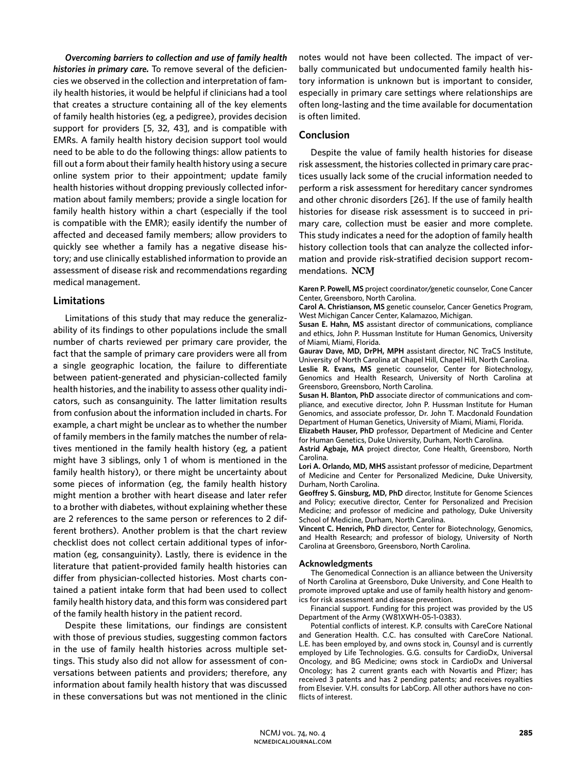*Overcoming barriers to collection and use of family health histories in primary care.* To remove several of the deficiencies we observed in the collection and interpretation of family health histories, it would be helpful if clinicians had a tool that creates a structure containing all of the key elements of family health histories (eg, a pedigree), provides decision support for providers [5, 32, 43], and is compatible with EMRs. A family health history decision support tool would need to be able to do the following things: allow patients to fill out a form about their family health history using a secure online system prior to their appointment; update family health histories without dropping previously collected information about family members; provide a single location for family health history within a chart (especially if the tool is compatible with the EMR); easily identify the number of affected and deceased family members; allow providers to quickly see whether a family has a negative disease history; and use clinically established information to provide an assessment of disease risk and recommendations regarding medical management.

# **Limitations**

Limitations of this study that may reduce the generalizability of its findings to other populations include the small number of charts reviewed per primary care provider, the fact that the sample of primary care providers were all from a single geographic location, the failure to differentiate between patient-generated and physician-collected family health histories, and the inability to assess other quality indicators, such as consanguinity. The latter limitation results from confusion about the information included in charts. For example, a chart might be unclear as to whether the number of family members in the family matches the number of relatives mentioned in the family health history (eg, a patient might have 3 siblings, only 1 of whom is mentioned in the family health history), or there might be uncertainty about some pieces of information (eg, the family health history might mention a brother with heart disease and later refer to a brother with diabetes, without explaining whether these are 2 references to the same person or references to 2 different brothers). Another problem is that the chart review checklist does not collect certain additional types of information (eg, consanguinity). Lastly, there is evidence in the literature that patient-provided family health histories can differ from physician-collected histories. Most charts contained a patient intake form that had been used to collect family health history data, and this form was considered part of the family health history in the patient record.

Despite these limitations, our findings are consistent with those of previous studies, suggesting common factors in the use of family health histories across multiple settings. This study also did not allow for assessment of conversations between patients and providers; therefore, any information about family health history that was discussed in these conversations but was not mentioned in the clinic

notes would not have been collected. The impact of verbally communicated but undocumented family health history information is unknown but is important to consider, especially in primary care settings where relationships are often long-lasting and the time available for documentation is often limited.

# **Conclusion**

Despite the value of family health histories for disease risk assessment, the histories collected in primary care practices usually lack some of the crucial information needed to perform a risk assessment for hereditary cancer syndromes and other chronic disorders [26]. If the use of family health histories for disease risk assessment is to succeed in primary care, collection must be easier and more complete. This study indicates a need for the adoption of family health history collection tools that can analyze the collected information and provide risk-stratified decision support recommendations. NCM

**Karen P. Powell, MS** project coordinator/genetic counselor, Cone Cancer Center, Greensboro, North Carolina.

**Carol A. Christianson, MS** genetic counselor, Cancer Genetics Program, West Michigan Cancer Center, Kalamazoo, Michigan.

**Susan E. Hahn, MS** assistant director of communications, compliance and ethics, John P. Hussman Institute for Human Genomics, University of Miami, Miami, Florida.

**Gaurav Dave, MD, DrPH, MPH** assistant director, NC TraCS Institute, University of North Carolina at Chapel Hill, Chapel Hill, North Carolina.

**Leslie R. Evans, MS** genetic counselor, Center for Biotechnology, Genomics and Health Research, University of North Carolina at Greensboro, Greensboro, North Carolina.

**Susan H. Blanton, PhD** associate director of communications and compliance, and executive director, John P. Hussman Institute for Human Genomics, and associate professor, Dr. John T. Macdonald Foundation Department of Human Genetics, University of Miami, Miami, Florida.

**Elizabeth Hauser, PhD** professor, Department of Medicine and Center for Human Genetics, Duke University, Durham, North Carolina.

**Astrid Agbaje, MA** project director, Cone Health, Greensboro, North Carolina.

**Lori A. Orlando, MD, MHS** assistant professor of medicine, Department of Medicine and Center for Personalized Medicine, Duke University, Durham, North Carolina.

**Geoffrey S. Ginsburg, MD, PhD** director, Institute for Genome Sciences and Policy; executive director, Center for Personalized and Precision Medicine; and professor of medicine and pathology, Duke University School of Medicine, Durham, North Carolina.

**Vincent C. Henrich, PhD** director, Center for Biotechnology, Genomics, and Health Research; and professor of biology, University of North Carolina at Greensboro, Greensboro, North Carolina.

## **Acknowledgments**

The Genomedical Connection is an alliance between the University of North Carolina at Greensboro, Duke University, and Cone Health to promote improved uptake and use of family health history and genomics for risk assessment and disease prevention.

Financial support. Funding for this project was provided by the US Department of the Army (W81XWH-05-1-0383).

Potential conflicts of interest. K.P. consults with CareCore National and Generation Health. C.C. has consulted with CareCore National. L.E. has been employed by, and owns stock in, Counsyl and is currently employed by Life Technologies. G.G. consults for CardioDx, Universal Oncology, and BG Medicine; owns stock in CardioDx and Universal Oncology; has 2 current grants each with Novartis and Pfizer; has received 3 patents and has 2 pending patents; and receives royalties from Elsevier. V.H. consults for LabCorp. All other authors have no conflicts of interest.